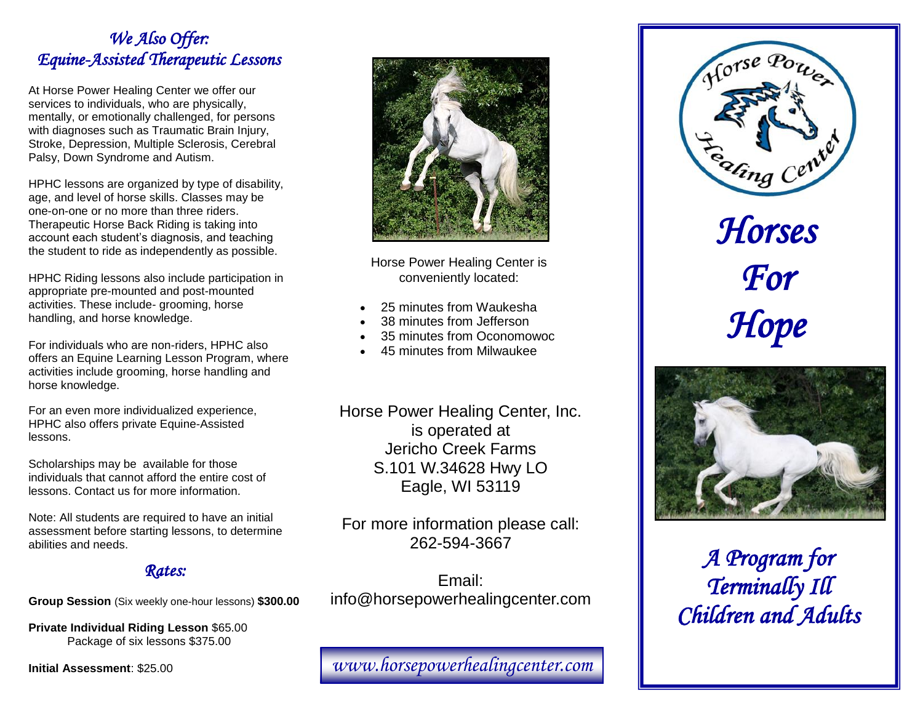### *We Also Offer: Equine-Assisted Therapeutic Lessons*

At Horse Power Healing Center we offer our services to individuals, who are physically, mentally, or emotionally challenged, for persons with diagnoses such as Traumatic Brain Injury, Stroke, Depression, Multiple Sclerosis, Cerebral Palsy, Down Syndrome and Autism.

HPHC lessons are organized by type of disability, age, and level of horse skills. Classes may be one-on-one or no more than three riders. Therapeutic Horse Back Riding is taking into account each student's diagnosis, and teaching the student to ride as independently as possible.

HPHC Riding lessons also include participation in appropriate pre-mounted and post-mounted activities. These include- grooming, horse handling, and horse knowledge.

For individuals who are non-riders, HPHC also offers an Equine Learning Lesson Program, where activities include grooming, horse handling and horse knowledge.

For an even more individualized experience, HPHC also offers private Equine-Assisted lessons.

Scholarships may be available for those individuals that cannot afford the entire cost of lessons. Contact us for more information.

Note: All students are required to have an initial assessment before starting lessons, to determine abilities and needs.

#### *Rates:*

**Group Session** (Six weekly one-hour lessons) **\$300.00**

**Private Individual Riding Lesson** \$65.00 Package of six lessons \$375.00

**Initial Assessment**: \$25.00



Horse Power Healing Center is conveniently located:

- 25 minutes from Waukesha
- 38 minutes from Jefferson
- 35 minutes from Oconomowoc
- 45 minutes from Milwaukee

Horse Power Healing Center, Inc. is operated at Jericho Creek Farms S.101 W.34628 Hwy LO Eagle, WI 53119

For more information please call: 262-594-3667

Email: info@horsepowerhealingcenter.com

*www.horsepowerhealingcenter.com* 



*Hope* 



*A Program for Terminally Ill Children and Adults*